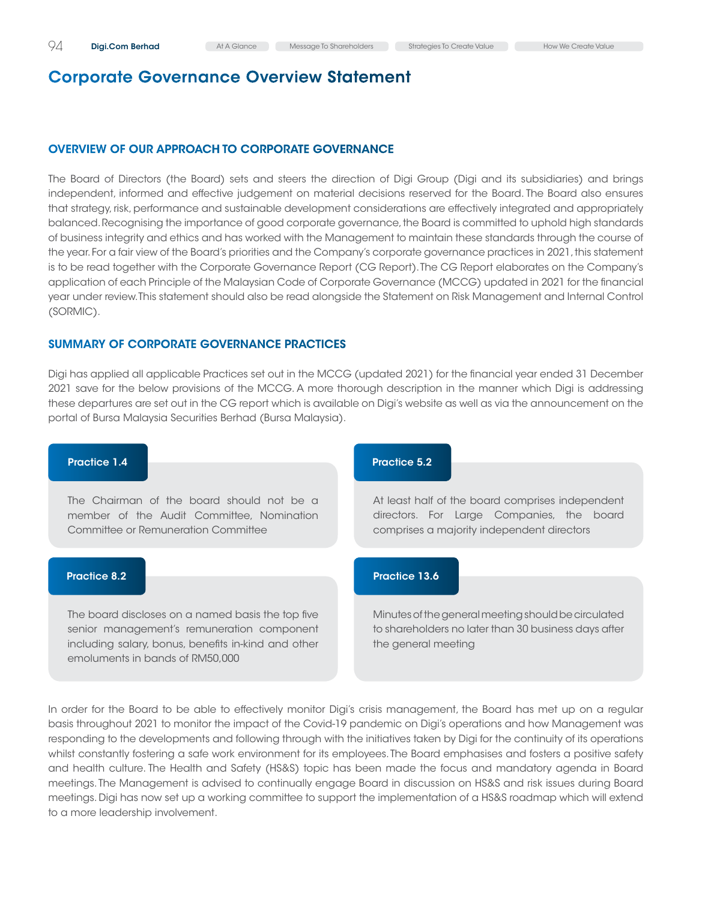# Overview of Our Approach to Corporate Governance

The Board of Directors (the Board) sets and steers the direction of Digi Group (Digi and its subsidiaries) and brings independent, informed and effective judgement on material decisions reserved for the Board. The Board also ensures that strategy, risk, performance and sustainable development considerations are effectively integrated and appropriately balanced. Recognising the importance of good corporate governance, the Board is committed to uphold high standards of business integrity and ethics and has worked with the Management to maintain these standards through the course of the year. For a fair view of the Board's priorities and the Company's corporate governance practices in 2021, this statement is to be read together with the Corporate Governance Report (CG Report). The CG Report elaborates on the Company's application of each Principle of the Malaysian Code of Corporate Governance (MCCG) updated in 2021 for the financial year under review. This statement should also be read alongside the Statement on Risk Management and Internal Control (SORMIC).

# Summary of Corporate Governance Practices

Digi has applied all applicable Practices set out in the MCCG (updated 2021) for the financial year ended 31 December 2021 save for the below provisions of the MCCG. A more thorough description in the manner which Digi is addressing these departures are set out in the CG report which is available on Digi's website as well as via the announcement on the portal of Bursa Malaysia Securities Berhad (Bursa Malaysia).



In order for the Board to be able to effectively monitor Digi's crisis management, the Board has met up on a regular basis throughout 2021 to monitor the impact of the Covid-19 pandemic on Digi's operations and how Management was responding to the developments and following through with the initiatives taken by Digi for the continuity of its operations whilst constantly fostering a safe work environment for its employees. The Board emphasises and fosters a positive safety and health culture. The Health and Safety (HS&S) topic has been made the focus and mandatory agenda in Board meetings. The Management is advised to continually engage Board in discussion on HS&S and risk issues during Board meetings. Digi has now set up a working committee to support the implementation of a HS&S roadmap which will extend to a more leadership involvement.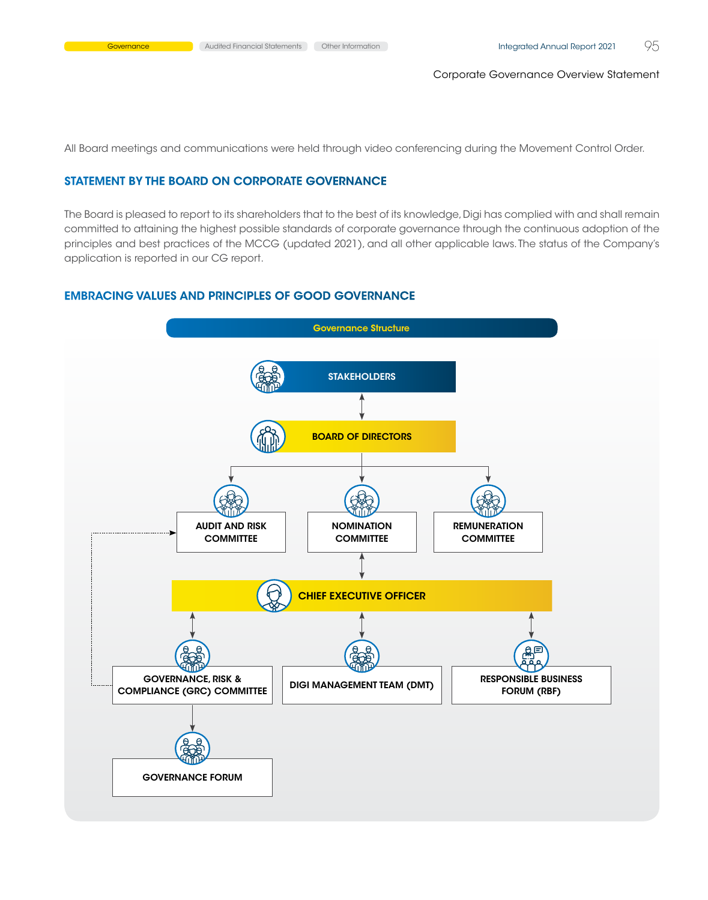All Board meetings and communications were held through video conferencing during the Movement Control Order.

#### Statement by the Board on Corporate Governance

The Board is pleased to report to its shareholders that to the best of its knowledge, Digi has complied with and shall remain committed to attaining the highest possible standards of corporate governance through the continuous adoption of the principles and best practices of the MCCG (updated 2021), and all other applicable laws. The status of the Company's application is reported in our CG report.

### Embracing Values and Principles of Good Governance

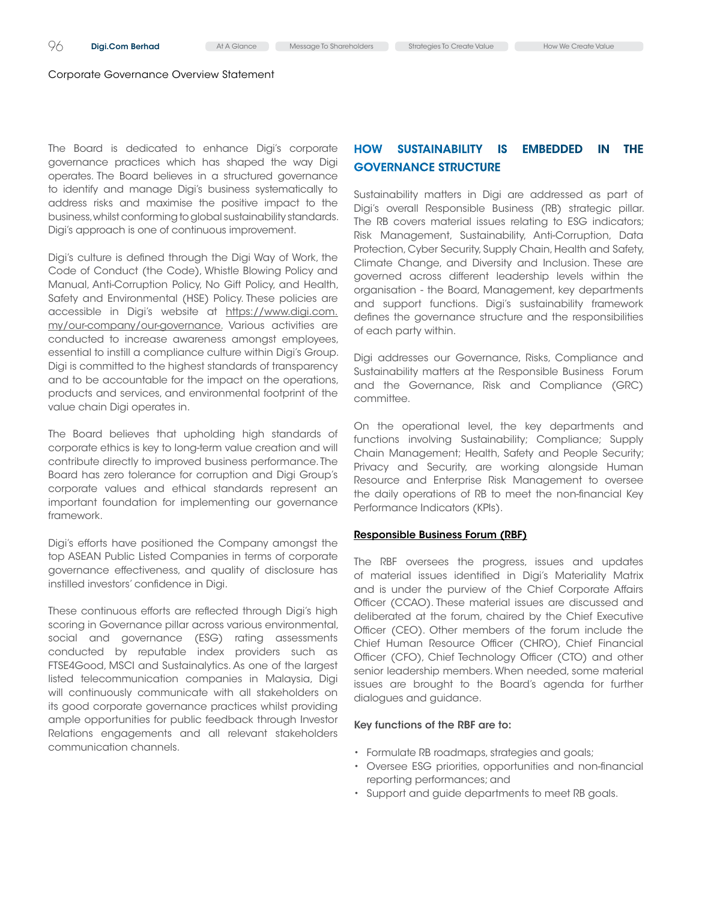The Board is dedicated to enhance Digi's corporate governance practices which has shaped the way Digi operates. The Board believes in a structured governance to identify and manage Digi's business systematically to address risks and maximise the positive impact to the business, whilst conforming to global sustainability standards. Digi's approach is one of continuous improvement.

Digi's culture is defined through the Digi Way of Work, the Code of Conduct (the Code), Whistle Blowing Policy and Manual, Anti-Corruption Policy, No Gift Policy, and Health, Safety and Environmental (HSE) Policy. These policies are accessible in Digi's website at [https://www.digi.com.](https://www.digi.com.my/our-company/our-governance) [my/our-company/our-governance](https://www.digi.com.my/our-company/our-governance). Various activities are conducted to increase awareness amongst employees, essential to instill a compliance culture within Digi's Group. Digi is committed to the highest standards of transparency and to be accountable for the impact on the operations, products and services, and environmental footprint of the value chain Digi operates in.

The Board believes that upholding high standards of corporate ethics is key to long-term value creation and will contribute directly to improved business performance. The Board has zero tolerance for corruption and Digi Group's corporate values and ethical standards represent an important foundation for implementing our governance framework.

Digi's efforts have positioned the Company amongst the top ASEAN Public Listed Companies in terms of corporate governance effectiveness, and quality of disclosure has instilled investors' confidence in Digi.

These continuous efforts are reflected through Digi's high scoring in Governance pillar across various environmental, social and governance (ESG) rating assessments conducted by reputable index providers such as FTSE4Good, MSCI and Sustainalytics. As one of the largest listed telecommunication companies in Malaysia, Digi will continuously communicate with all stakeholders on its good corporate governance practices whilst providing ample opportunities for public feedback through Investor Relations engagements and all relevant stakeholders communication channels.

# How Sustainability is embedded in the Governance Structure

Sustainability matters in Digi are addressed as part of Digi's overall Responsible Business (RB) strategic pillar. The RB covers material issues relating to ESG indicators; Risk Management, Sustainability, Anti-Corruption, Data Protection, Cyber Security, Supply Chain, Health and Safety, Climate Change, and Diversity and Inclusion. These are governed across different leadership levels within the organisation - the Board, Management, key departments and support functions. Digi's sustainability framework defines the governance structure and the responsibilities of each party within.

Digi addresses our Governance, Risks, Compliance and Sustainability matters at the Responsible Business Forum and the Governance, Risk and Compliance (GRC) committee.

On the operational level, the key departments and functions involving Sustainability; Compliance; Supply Chain Management; Health, Safety and People Security; Privacy and Security, are working alongside Human Resource and Enterprise Risk Management to oversee the daily operations of RB to meet the non-financial Key Performance Indicators (KPIs).

#### Responsible Business Forum (RBF)

The RBF oversees the progress, issues and updates of material issues identified in Digi's Materiality Matrix and is under the purview of the Chief Corporate Affairs Officer (CCAO). These material issues are discussed and deliberated at the forum, chaired by the Chief Executive Officer (CEO). Other members of the forum include the Chief Human Resource Officer (CHRO), Chief Financial Officer (CFO), Chief Technology Officer (CTO) and other senior leadership members. When needed, some material issues are brought to the Board's agenda for further dialogues and guidance.

#### Key functions of the RBF are to:

- • Formulate RB roadmaps, strategies and goals;
- • Oversee ESG priorities, opportunities and non-financial reporting performances; and
- Support and guide departments to meet RB goals.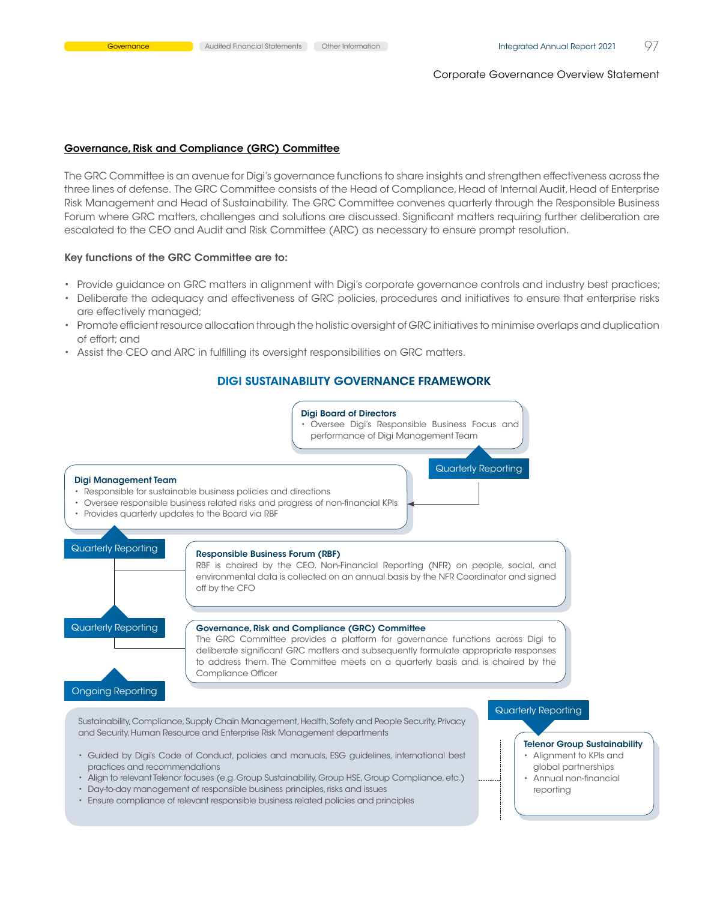#### Governance, Risk and Compliance (GRC) Committee

The GRC Committee is an avenue for Digi's governance functions to share insights and strengthen effectiveness across the three lines of defense. The GRC Committee consists of the Head of Compliance, Head of Internal Audit, Head of Enterprise Risk Management and Head of Sustainability. The GRC Committee convenes quarterly through the Responsible Business Forum where GRC matters, challenges and solutions are discussed. Significant matters requiring further deliberation are escalated to the CEO and Audit and Risk Committee (ARC) as necessary to ensure prompt resolution.

#### Key functions of the GRC Committee are to:

- • Provide guidance on GRC matters in alignment with Digi's corporate governance controls and industry best practices;
- • Deliberate the adequacy and effectiveness of GRC policies, procedures and initiatives to ensure that enterprise risks are effectively managed;
- • Promote efficient resource allocation through the holistic oversight of GRC initiatives to minimise overlaps and duplication of effort; and
- • Assist the CEO and ARC in fulfilling its oversight responsibilities on GRC matters.

#### Digi Sustainability Governance Framework



- Align to relevant Telenor focuses (e.g. Group Sustainability, Group HSE, Group Compliance, etc.)
- Day-to-day management of responsible business principles, risks and issues
- • Ensure compliance of relevant responsible business related policies and principles
- global partnerships
- Annual non-financial reporting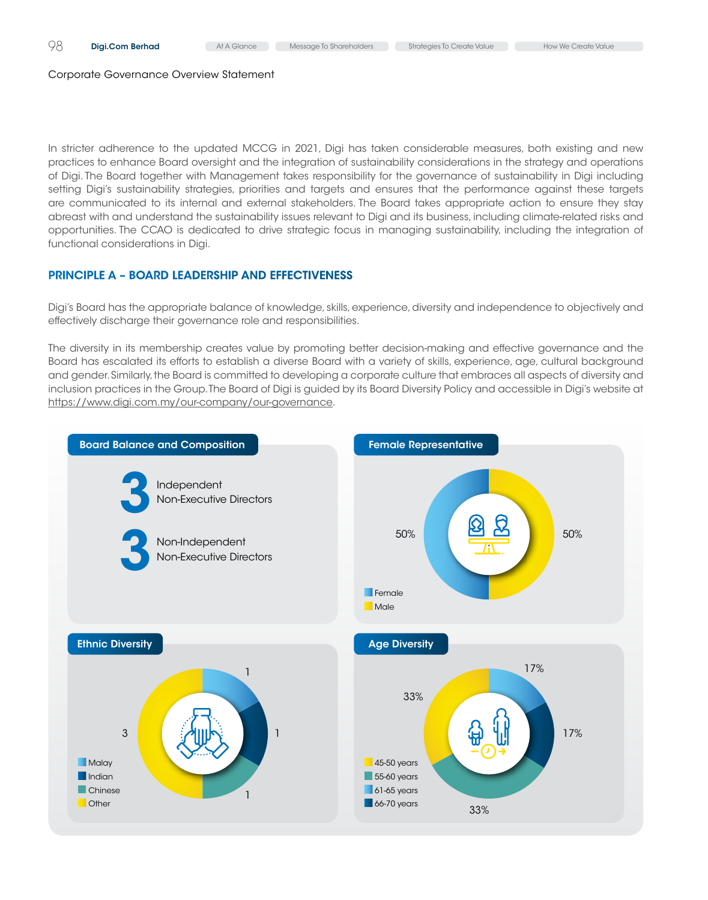In stricter adherence to the updated MCCG in 2021, Digi has taken considerable measures, both existing and new practices to enhance Board oversight and the integration of sustainability considerations in the strategy and operations of Digi. The Board together with Management takes responsibility for the governance of sustainability in Digi including setting Digi's sustainability strategies, priorities and targets and ensures that the performance against these targets are communicated to its internal and external stakeholders. The Board takes appropriate action to ensure they stay abreast with and understand the sustainability issues relevant to Digi and its business, including climate-related risks and opportunities. The CCAO is dedicated to drive strategic focus in managing sustainability, including the integration of functional considerations in Digi.

# Principle A – Board Leadership and Effectiveness

Digi's Board has the appropriate balance of knowledge, skills, experience, diversity and independence to objectively and effectively discharge their governance role and responsibilities.

The diversity in its membership creates value by promoting better decision-making and effective governance and the Board has escalated its efforts to establish a diverse Board with a variety of skills, experience, age, cultural background and gender. Similarly, the Board is committed to developing a corporate culture that embraces all aspects of diversity and inclusion practices in the Group. The Board of Digi is guided by its Board Diversity Policy and accessible in Digi's website at https://www.digi.com.my/our-company/our-governance.

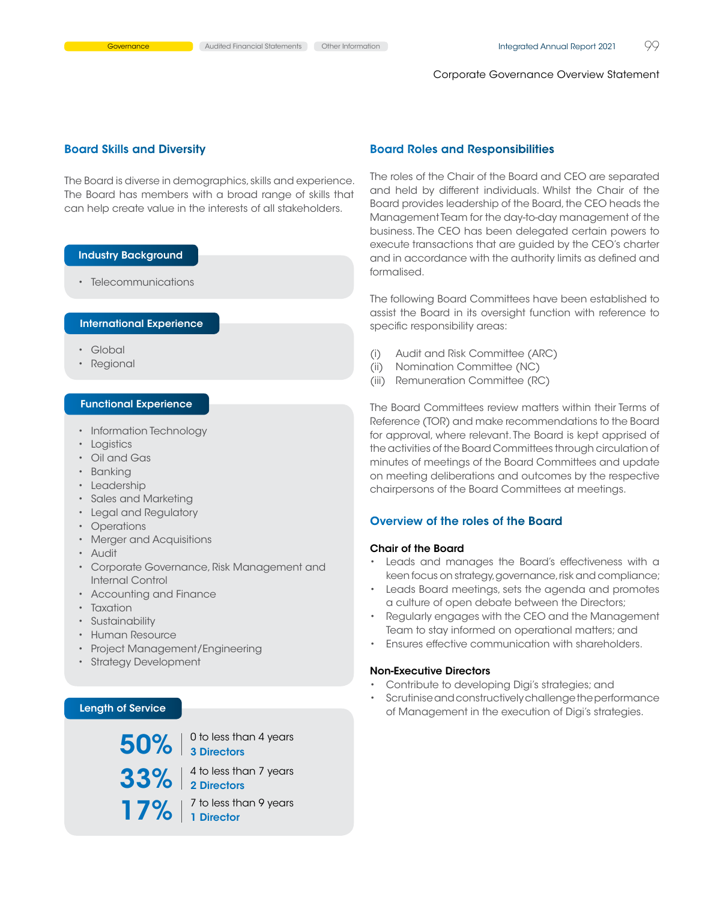#### Board Skills and Diversity

The Board is diverse in demographics, skills and experience. The Board has members with a broad range of skills that can help create value in the interests of all stakeholders.

### Industry Background

• Telecommunications

# International Experience

- • Global
- • Regional

#### Functional Experience

- Information Technology
- Logistics
- • Oil and Gas
- • Banking
- • Leadership
- • Sales and Marketing
- • Legal and Regulatory
- • Operations
- • Merger and Acquisitions
- • Audit
- • Corporate Governance, Risk Management and Internal Control
- Accounting and Finance
- Taxation
- Sustainability
- • Human Resource
- • Project Management/Engineering
- • Strategy Development

# Length of Service



#### Board Roles and Responsibilities

The roles of the Chair of the Board and CEO are separated and held by different individuals. Whilst the Chair of the Board provides leadership of the Board, the CEO heads the Management Team for the day-to-day management of the business. The CEO has been delegated certain powers to execute transactions that are guided by the CEO's charter and in accordance with the authority limits as defined and formalised.

The following Board Committees have been established to assist the Board in its oversight function with reference to specific responsibility areas:

- (i) Audit and Risk Committee (ARC)
- (ii) Nomination Committee (NC)
- (iii) Remuneration Committee (RC)

The Board Committees review matters within their Terms of Reference (TOR) and make recommendations to the Board for approval, where relevant. The Board is kept apprised of the activities of the Board Committees through circulation of minutes of meetings of the Board Committees and update on meeting deliberations and outcomes by the respective chairpersons of the Board Committees at meetings.

#### Overview of the roles of the Board

#### Chair of the Board

- • Leads and manages the Board's effectiveness with a keen focus on strategy, governance, risk and compliance;
- • Leads Board meetings, sets the agenda and promotes a culture of open debate between the Directors;
- • Regularly engages with the CEO and the Management Team to stay informed on operational matters; and
- • Ensures effective communication with shareholders.

# Non-Executive Directors

- • Contribute to developing Digi's strategies; and
- Scrutinise and constructively challenge the performance of Management in the execution of Digi's strategies.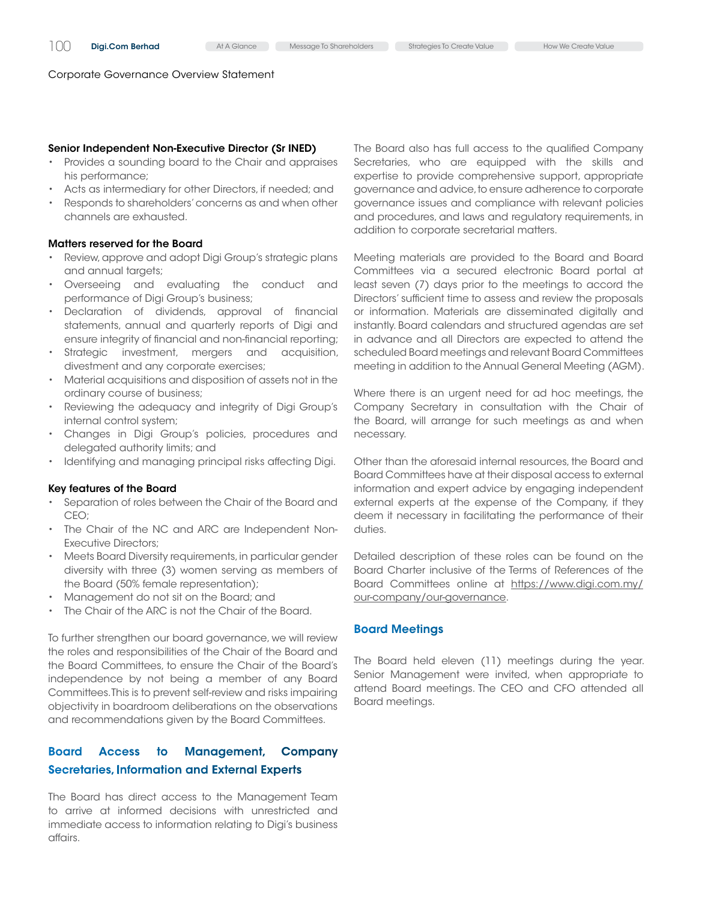#### Senior Independent Non-Executive Director (Sr INED)

- Provides a sounding board to the Chair and appraises his performance;
- • Acts as intermediary for other Directors, if needed; and
- • Responds to shareholders'concerns as and when other channels are exhausted.

#### Matters reserved for the Board

- Review, approve and adopt Digi Group's strategic plans and annual targets;
- • Overseeing and evaluating the conduct and performance of Digi Group's business;
- Declaration of dividends, approval of financial statements, annual and quarterly reports of Digi and ensure integrity of financial and non-financial reporting;
- • Strategic investment, mergers and acquisition, divestment and any corporate exercises;
- • Material acquisitions and disposition of assets not in the ordinary course of business;
- Reviewing the adequacy and integrity of Digi Group's internal control system;
- Changes in Digi Group's policies, procedures and delegated authority limits; and
- Identifying and managing principal risks affecting Digi.

#### Key features of the Board

- Separation of roles between the Chair of the Board and CEO;
- The Chair of the NC and ARC are Independent Non-Executive Directors;
- Meets Board Diversity requirements, in particular gender diversity with three (3) women serving as members of the Board (50% female representation);
- Management do not sit on the Board; and
- The Chair of the ARC is not the Chair of the Board.

To further strengthen our board governance, we will review the roles and responsibilities of the Chair of the Board and the Board Committees, to ensure the Chair of the Board's independence by not being a member of any Board Committees. This is to prevent self-review and risks impairing objectivity in boardroom deliberations on the observations and recommendations given by the Board Committees.

# Board Access to Management, Company Secretaries, Information and External Experts

The Board has direct access to the Management Team to arrive at informed decisions with unrestricted and immediate access to information relating to Digi's business affairs.

The Board also has full access to the qualified Company Secretaries, who are equipped with the skills and expertise to provide comprehensive support, appropriate governance and advice, to ensure adherence to corporate governance issues and compliance with relevant policies and procedures, and laws and regulatory requirements, in addition to corporate secretarial matters.

Meeting materials are provided to the Board and Board Committees via a secured electronic Board portal at least seven (7) days prior to the meetings to accord the Directors' sufficient time to assess and review the proposals or information. Materials are disseminated digitally and instantly. Board calendars and structured agendas are set in advance and all Directors are expected to attend the scheduled Board meetings and relevant Board Committees meeting in addition to the Annual General Meeting (AGM).

Where there is an urgent need for ad hoc meetings, the Company Secretary in consultation with the Chair of the Board, will arrange for such meetings as and when necessary.

Other than the aforesaid internal resources, the Board and Board Committees have at their disposal access to external information and expert advice by engaging independent external experts at the expense of the Company, if they deem it necessary in facilitating the performance of their duties.

Detailed description of these roles can be found on the Board Charter inclusive of the Terms of References of the Board Committees online at [https://www.digi.com.my/](https://www.digi.com.my/our-company/our-governance) [our-company/our-governance.](https://www.digi.com.my/our-company/our-governance)

#### Board Meetings

The Board held eleven (11) meetings during the year. Senior Management were invited, when appropriate to attend Board meetings. The CEO and CFO attended all Board meetings.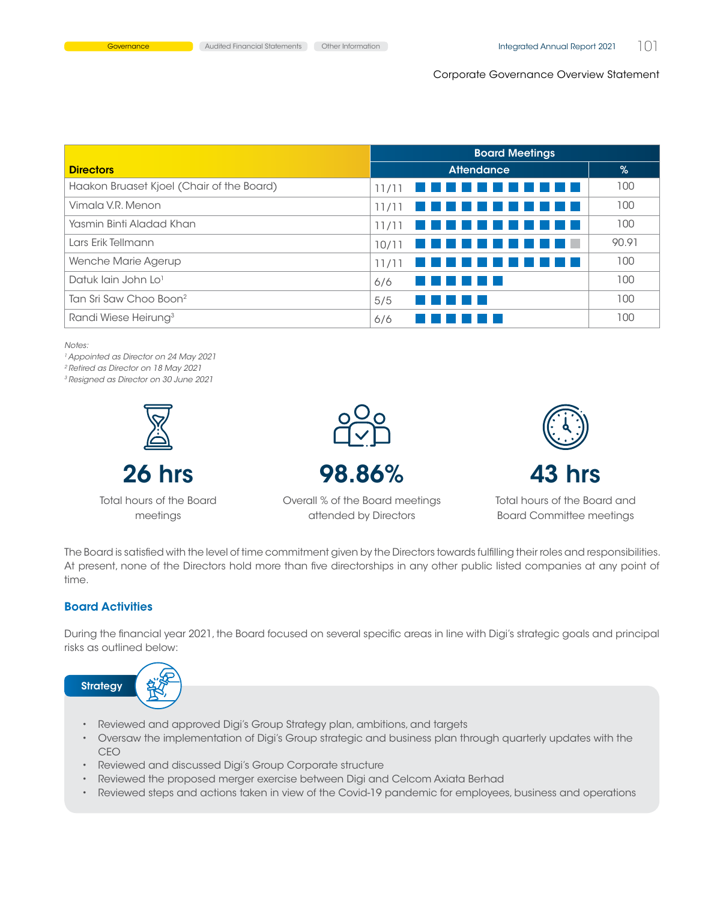|                                           | <b>Board Meetings</b>                 |       |
|-------------------------------------------|---------------------------------------|-------|
| <b>Directors</b>                          | <b>Attendance</b>                     | %     |
| Haakon Bruaset Kjoel (Chair of the Board) | 11/11<br>e din n                      | 100   |
| Vimala V.R. Menon                         | 11/11                                 | 100   |
| Yasmin Binti Aladad Khan                  | 11/11                                 | 100   |
| Lars Erik Tellmann                        | 10/11                                 | 90.91 |
| Wenche Marie Agerup                       | 11/11<br><u>Literatu</u><br>a shekara | 100   |
| Datuk lain John Lo <sup>1</sup>           | .<br>6/6                              | 100   |
| Tan Sri Saw Choo Boon <sup>2</sup>        | 5/5                                   | 100   |
| Randi Wiese Heirung <sup>3</sup>          | 6/6                                   | 100   |

*Notes:*

*<sup>1</sup>*Appointed as Director on 24 May 2021

*<sup>2</sup>*Retired as Director on 18 May 2021

*<sup>3</sup>*Resigned as Director on 30 June 2021



Total hours of the Board meetings



26 hrs 98.86%



Total hours of the Board and

Overall % of the Board meetings attended by Directors

Board Committee meetings

The Board is satisfied with the level of time commitment given by the Directors towards fulfilling their roles and responsibilities. At present, none of the Directors hold more than five directorships in any other public listed companies at any point of time.

# Board Activities

During the financial year 2021, the Board focused on several specific areas in line with Digi's strategic goals and principal risks as outlined below:



- Reviewed and approved Digi's Group Strategy plan, ambitions, and targets
- • Oversaw the implementation of Digi's Group strategic and business plan through quarterly updates with the CEO
- • Reviewed and discussed Digi's Group Corporate structure
- • Reviewed the proposed merger exercise between Digi and Celcom Axiata Berhad
- • Reviewed steps and actions taken in view of the Covid-19 pandemic for employees, business and operations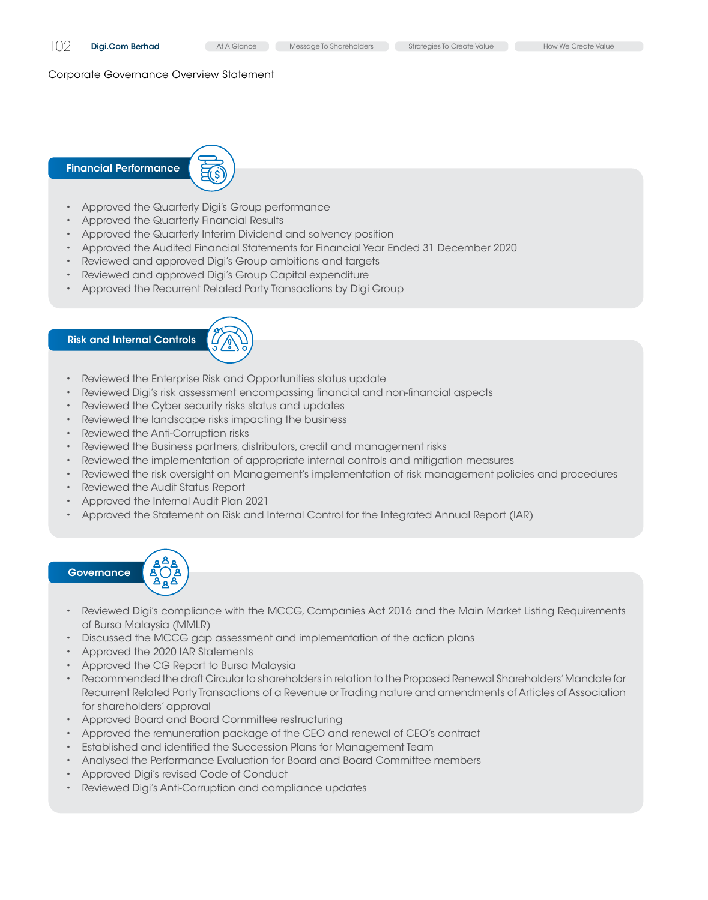#### Financial Performance



- • Approved the Quarterly Digi's Group performance
- • Approved the Quarterly Financial Results
- Approved the Quarterly Interim Dividend and solvency position
- • Approved the Audited Financial Statements for Financial Year Ended 31 December 2020
- • Reviewed and approved Digi's Group ambitions and targets
- • Reviewed and approved Digi's Group Capital expenditure
- Approved the Recurrent Related Party Transactions by Digi Group

# Risk and Internal Controls



- Reviewed the Enterprise Risk and Opportunities status update
- • Reviewed Digi's risk assessment encompassing financial and non-financial aspects
- Reviewed the Cyber security risks status and updates
- Reviewed the landscape risks impacting the business
- • Reviewed the Anti-Corruption risks
- Reviewed the Business partners, distributors, credit and management risks
- • Reviewed the implementation of appropriate internal controls and mitigation measures
- • Reviewed the risk oversight on Management's implementation of risk management policies and procedures
- • Reviewed the Audit Status Report
- • Approved the Internal Audit Plan 2021
- • Approved the Statement on Risk and Internal Control for the Integrated Annual Report (IAR)

# **Governance**



- • Reviewed Digi's compliance with the MCCG, Companies Act 2016 and the Main Market Listing Requirements of Bursa Malaysia (MMLR)
- • Discussed the MCCG gap assessment and implementation of the action plans
- • Approved the 2020 IAR Statements
- • Approved the CG Report to Bursa Malaysia
- • Recommended the draft Circular to shareholders in relation to the Proposed Renewal Shareholders'Mandate for Recurrent Related Party Transactions of a Revenue or Trading nature and amendments of Articles of Association for shareholders' approval
- • Approved Board and Board Committee restructuring
- • Approved the remuneration package of the CEO and renewal of CEO's contract
- • Established and identified the Succession Plans for Management Team
- • Analysed the Performance Evaluation for Board and Board Committee members
- • Approved Digi's revised Code of Conduct
- • Reviewed Digi's Anti-Corruption and compliance updates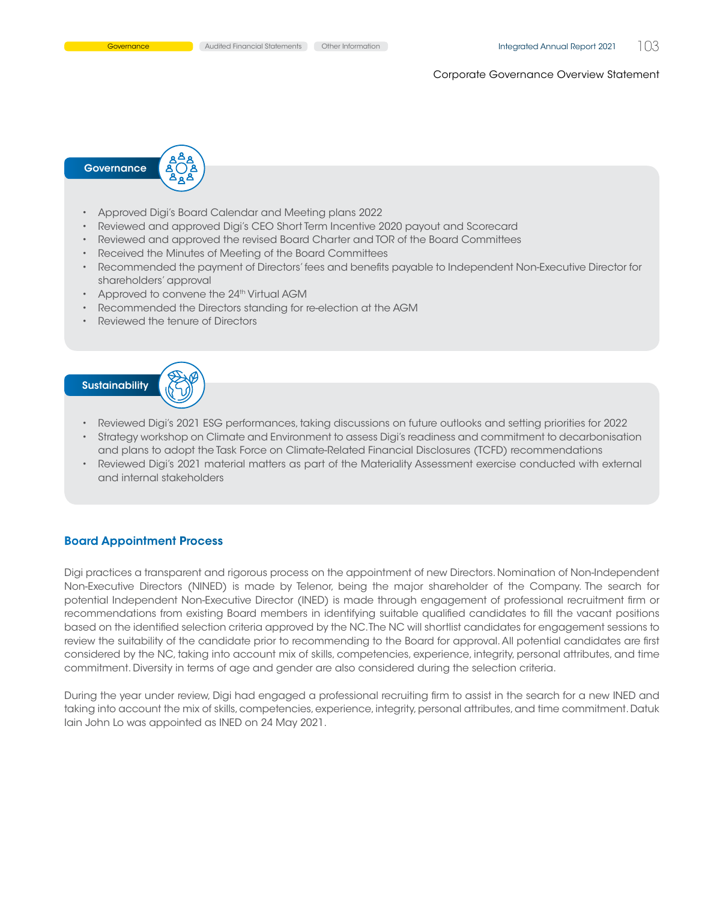

- • Approved Digi's Board Calendar and Meeting plans 2022
- • Reviewed and approved Digi's CEO Short Term Incentive 2020 payout and Scorecard
- • Reviewed and approved the revised Board Charter and TOR of the Board Committees
- • Received the Minutes of Meeting of the Board Committees
- • Recommended the payment of Directors'fees and benefits payable to Independent Non-Executive Director for shareholders' approval
- Approved to convene the 24<sup>th</sup> Virtual AGM
- Recommended the Directors standing for re-election at the AGM
- Reviewed the tenure of Directors



- Reviewed Digi's 2021 ESG performances, taking discussions on future outlooks and setting priorities for 2022
- • Strategy workshop on Climate and Environment to assess Digi's readiness and commitment to decarbonisation and plans to adopt the Task Force on Climate-Related Financial Disclosures (TCFD) recommendations
- • Reviewed Digi's 2021 material matters as part of the Materiality Assessment exercise conducted with external and internal stakeholders

#### Board Appointment Process

Digi practices a transparent and rigorous process on the appointment of new Directors. Nomination of Non-Independent Non-Executive Directors (NINED) is made by Telenor, being the major shareholder of the Company. The search for potential Independent Non-Executive Director (INED) is made through engagement of professional recruitment firm or recommendations from existing Board members in identifying suitable qualified candidates to fill the vacant positions based on the identified selection criteria approved by the NC. The NC will shortlist candidates for engagement sessions to review the suitability of the candidate prior to recommending to the Board for approval. All potential candidates are first considered by the NC, taking into account mix of skills, competencies, experience, integrity, personal attributes, and time commitment. Diversity in terms of age and gender are also considered during the selection criteria.

During the year under review, Digi had engaged a professional recruiting firm to assist in the search for a new INED and taking into account the mix of skills, competencies, experience, integrity, personal attributes, and time commitment. Datuk Iain John Lo was appointed as INED on 24 May 2021.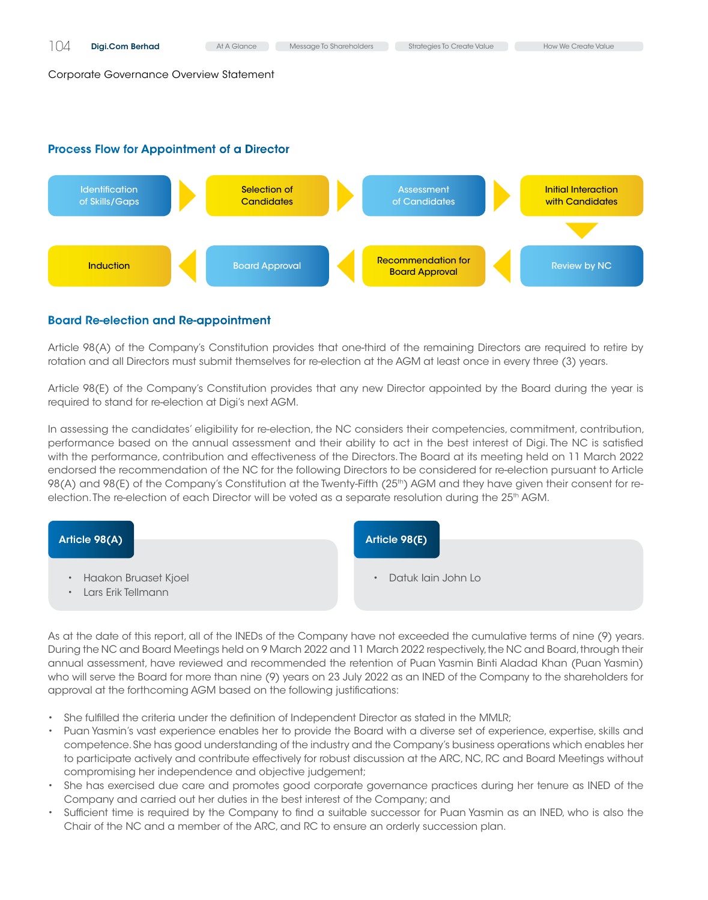# Process Flow for Appointment of a Director



# Board Re-election and Re-appointment

Article 98(A) of the Company's Constitution provides that one-third of the remaining Directors are required to retire by rotation and all Directors must submit themselves for re-election at the AGM at least once in every three (3) years.

Article 98(E) of the Company's Constitution provides that any new Director appointed by the Board during the year is required to stand for re-election at Digi's next AGM.

In assessing the candidates' eligibility for re-election, the NC considers their competencies, commitment, contribution, performance based on the annual assessment and their ability to act in the best interest of Digi. The NC is satisfied with the performance, contribution and effectiveness of the Directors. The Board at its meeting held on 11 March 2022 endorsed the recommendation of the NC for the following Directors to be considered for re-election pursuant to Article 98(A) and 98(E) of the Company's Constitution at the Twenty-Fifth (25<sup>th</sup>) AGM and they have given their consent for reelection. The re-election of each Director will be voted as a separate resolution during the 25<sup>th</sup> AGM.



As at the date of this report, all of the INEDs of the Company have not exceeded the cumulative terms of nine (9) years. During the NC and Board Meetings held on 9 March 2022 and 11 March 2022 respectively, the NC and Board, through their annual assessment, have reviewed and recommended the retention of Puan Yasmin Binti Aladad Khan (Puan Yasmin) who will serve the Board for more than nine (9) years on 23 July 2022 as an INED of the Company to the shareholders for approval at the forthcoming AGM based on the following justifications:

- She fulfilled the criteria under the definition of Independent Director as stated in the MMLR;
- Puan Yasmin's vast experience enables her to provide the Board with a diverse set of experience, expertise, skills and competence. She has good understanding of the industry and the Company's business operations which enables her to participate actively and contribute effectively for robust discussion at the ARC, NC, RC and Board Meetings without compromising her independence and objective judgement;
- • She has exercised due care and promotes good corporate governance practices during her tenure as INED of the Company and carried out her duties in the best interest of the Company; and
- Sufficient time is required by the Company to find a suitable successor for Puan Yasmin as an INED, who is also the Chair of the NC and a member of the ARC, and RC to ensure an orderly succession plan.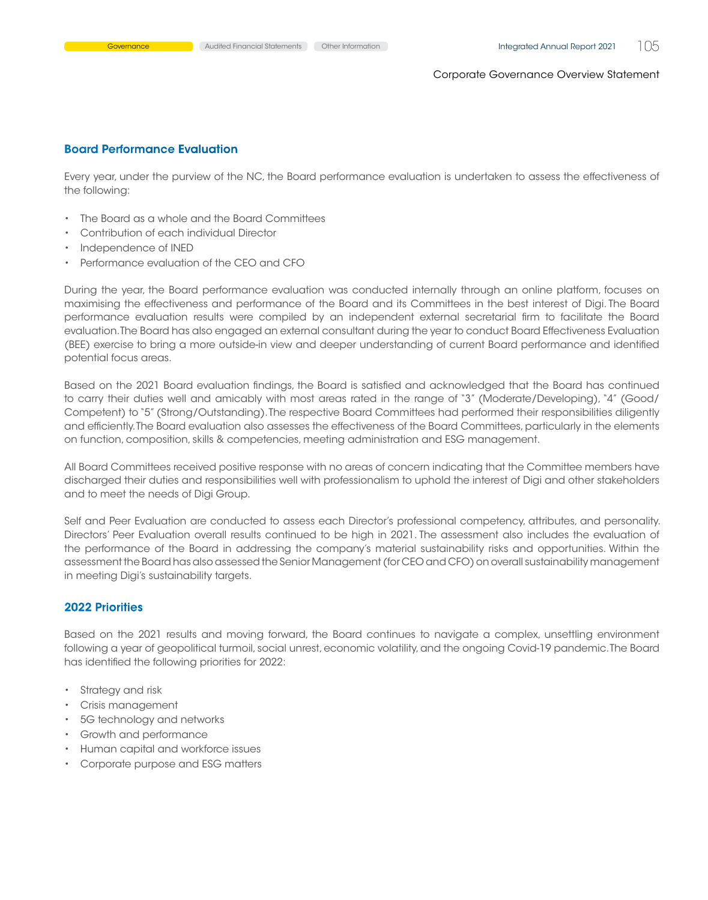## Board Performance Evaluation

Every year, under the purview of the NC, the Board performance evaluation is undertaken to assess the effectiveness of the following:

- • The Board as a whole and the Board Committees
- Contribution of each individual Director
- Independence of INED
- Performance evaluation of the CFO and CFO

During the year, the Board performance evaluation was conducted internally through an online platform, focuses on maximising the effectiveness and performance of the Board and its Committees in the best interest of Digi. The Board performance evaluation results were compiled by an independent external secretarial firm to facilitate the Board evaluation. The Board has also engaged an external consultant during the year to conduct Board Effectiveness Evaluation (BEE) exercise to bring a more outside-in view and deeper understanding of current Board performance and identified potential focus areas.

Based on the 2021 Board evaluation findings, the Board is satisfied and acknowledged that the Board has continued to carry their duties well and amicably with most areas rated in the range of "3" (Moderate/Developing), "4" (Good/ Competent) to "5" (Strong/Outstanding).The respective Board Committees had performed their responsibilities diligently and efficiently. The Board evaluation also assesses the effectiveness of the Board Committees, particularly in the elements on function, composition, skills & competencies, meeting administration and ESG management.

All Board Committees received positive response with no areas of concern indicating that the Committee members have discharged their duties and responsibilities well with professionalism to uphold the interest of Digi and other stakeholders and to meet the needs of Digi Group.

Self and Peer Evaluation are conducted to assess each Director's professional competency, attributes, and personality. Directors' Peer Evaluation overall results continued to be high in 2021. The assessment also includes the evaluation of the performance of the Board in addressing the company's material sustainability risks and opportunities. Within the assessment the Board has also assessed the Senior Management (for CEO and CFO) on overall sustainability management in meeting Digi's sustainability targets.

# 2022 Priorities

Based on the 2021 results and moving forward, the Board continues to navigate a complex, unsettling environment following a year of geopolitical turmoil, social unrest, economic volatility, and the ongoing Covid-19 pandemic. The Board has identified the following priorities for 2022:

- • Strategy and risk
- • Crisis management
- • 5G technology and networks
- • Growth and performance
- • Human capital and workforce issues
- • Corporate purpose and ESG matters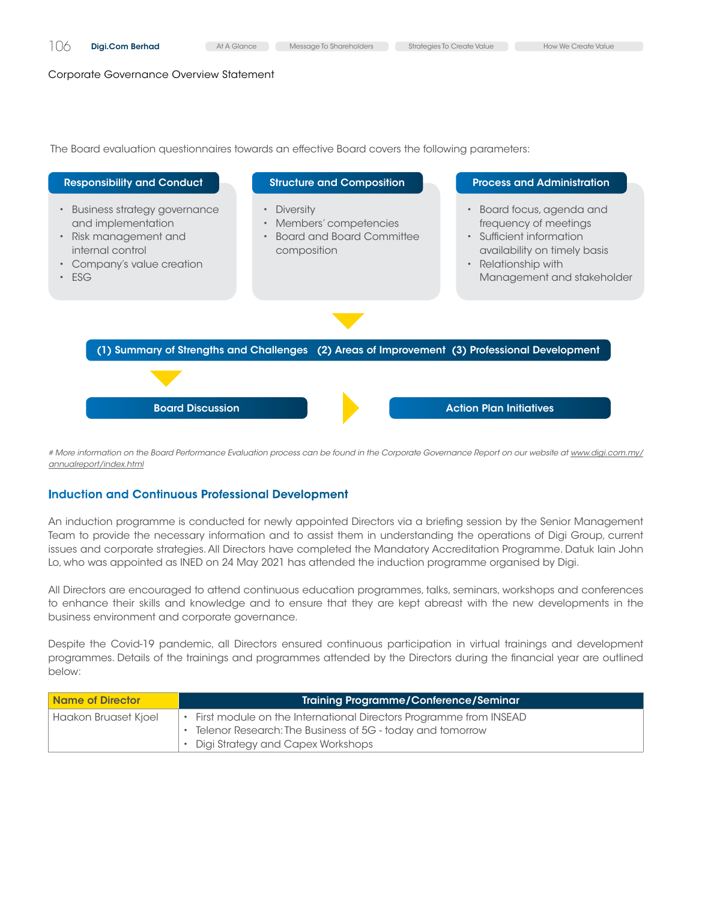The Board evaluation questionnaires towards an effective Board covers the following parameters:



# More information on the Board Performance Evaluation process can be found in the Corporate Governance Report on our website at *[www.digi.com.my/](https://store.digi.com.my/annualreport/index.html) [annualreport/index.html](https://store.digi.com.my/annualreport/index.html)* 

# Induction and Continuous Professional Development

An induction programme is conducted for newly appointed Directors via a briefing session by the Senior Management Team to provide the necessary information and to assist them in understanding the operations of Digi Group, current issues and corporate strategies. All Directors have completed the Mandatory Accreditation Programme. Datuk Iain John Lo, who was appointed as INED on 24 May 2021 has attended the induction programme organised by Digi.

All Directors are encouraged to attend continuous education programmes, talks, seminars, workshops and conferences to enhance their skills and knowledge and to ensure that they are kept abreast with the new developments in the business environment and corporate governance.

Despite the Covid-19 pandemic, all Directors ensured continuous participation in virtual trainings and development programmes. Details of the trainings and programmes attended by the Directors during the financial year are outlined below:

| <b>Name of Director</b> | Training Programme/Conference/Seminar                                                                                                                                 |
|-------------------------|-----------------------------------------------------------------------------------------------------------------------------------------------------------------------|
| Haakon Bruaset Kjoel    | First module on the International Directors Programme from INSEAD<br>Telenor Research: The Business of 5G - today and tomorrow<br>• Digi Strategy and Capex Workshops |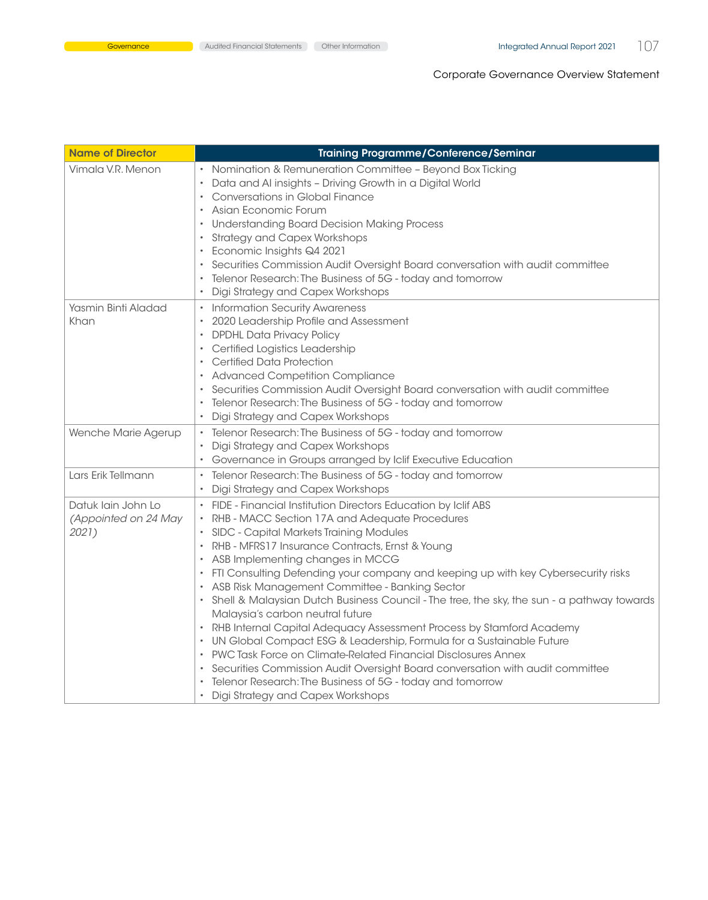| <b>Name of Director</b>                             | <b>Training Programme/Conference/Seminar</b>                                                                                                                                                                                                                                                                                                                                                                                                                                                                                                                                                                                                                                                                                                                                                                                                                                                                                                                                                                                               |
|-----------------------------------------------------|--------------------------------------------------------------------------------------------------------------------------------------------------------------------------------------------------------------------------------------------------------------------------------------------------------------------------------------------------------------------------------------------------------------------------------------------------------------------------------------------------------------------------------------------------------------------------------------------------------------------------------------------------------------------------------------------------------------------------------------------------------------------------------------------------------------------------------------------------------------------------------------------------------------------------------------------------------------------------------------------------------------------------------------------|
| Vimala V.R. Menon                                   | Nomination & Remuneration Committee - Beyond Box Ticking<br>Data and AI insights - Driving Growth in a Digital World<br>$\bullet$<br>Conversations in Global Finance<br>$\bullet$<br>Asian Economic Forum<br><b>Understanding Board Decision Making Process</b><br>$\bullet$<br><b>Strategy and Capex Workshops</b><br>$\bullet$<br>Economic Insights Q4 2021<br>٠<br>Securities Commission Audit Oversight Board conversation with audit committee<br>٠<br>Telenor Research: The Business of 5G - today and tomorrow<br>Digi Strategy and Capex Workshops<br>$\bullet$                                                                                                                                                                                                                                                                                                                                                                                                                                                                    |
| Yasmin Binti Aladad<br>Khan                         | <b>Information Security Awareness</b><br>$\bullet$<br>2020 Leadership Profile and Assessment<br>$\bullet$<br><b>DPDHL Data Privacy Policy</b><br>$\bullet$<br>Certified Logistics Leadership<br>٠<br>Certified Data Protection<br>$\bullet$<br>• Advanced Competition Compliance<br>Securities Commission Audit Oversight Board conversation with audit committee<br>Telenor Research: The Business of 5G - today and tomorrow<br>Digi Strategy and Capex Workshops<br>$\bullet$                                                                                                                                                                                                                                                                                                                                                                                                                                                                                                                                                           |
| Wenche Marie Agerup                                 | Telenor Research: The Business of 5G - today and tomorrow<br>Digi Strategy and Capex Workshops<br>$\bullet$<br>Governance in Groups arranged by Iclif Executive Education<br>٠                                                                                                                                                                                                                                                                                                                                                                                                                                                                                                                                                                                                                                                                                                                                                                                                                                                             |
| Lars Erik Tellmann                                  | Telenor Research: The Business of 5G - today and tomorrow<br>Digi Strategy and Capex Workshops<br>$\bullet$                                                                                                                                                                                                                                                                                                                                                                                                                                                                                                                                                                                                                                                                                                                                                                                                                                                                                                                                |
| Datuk lain John Lo<br>(Appointed on 24 May<br>2021) | FIDE - Financial Institution Directors Education by Iclif ABS<br>$\bullet$<br>RHB - MACC Section 17A and Adequate Procedures<br>$\bullet$<br>SIDC - Capital Markets Training Modules<br>RHB - MFRS17 Insurance Contracts, Ernst & Young<br>$\bullet$<br>ASB Implementing changes in MCCG<br>FTI Consulting Defending your company and keeping up with key Cybersecurity risks<br>ASB Risk Management Committee - Banking Sector<br>Shell & Malaysian Dutch Business Council - The tree, the sky, the sun - a pathway towards<br>$\bullet$<br>Malaysia's carbon neutral future<br>RHB Internal Capital Adequacy Assessment Process by Stamford Academy<br>$\bullet$<br>UN Global Compact ESG & Leadership, Formula for a Sustainable Future<br>$\bullet$<br>PWC Task Force on Climate-Related Financial Disclosures Annex<br>$\bullet$<br>Securities Commission Audit Oversight Board conversation with audit committee<br>٠<br>Telenor Research: The Business of 5G - today and tomorrow<br>Digi Strategy and Capex Workshops<br>$\bullet$ |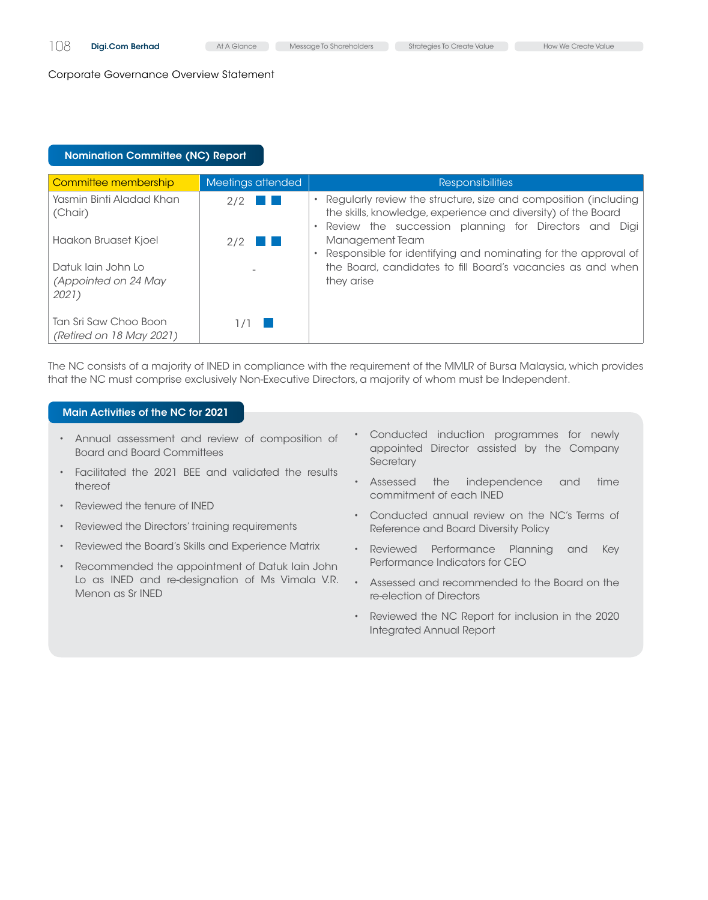# Nomination Committee (Nc) Report Nomination Committee (Nc) Report

| Committee membership                                | Meetings attended    | <b>Responsibilities</b>                                                                                                                                                                   |
|-----------------------------------------------------|----------------------|-------------------------------------------------------------------------------------------------------------------------------------------------------------------------------------------|
| Yasmin Binti Aladad Khan<br>(Chair)                 | $2/2$ $\blacksquare$ | Regularly review the structure, size and composition (including<br>the skills, knowledge, experience and diversity) of the Board<br>Review the succession planning for Directors and Digi |
| Haakon Bruaset Kjoel                                | $2/2$ $\blacksquare$ | Management Team<br>Responsible for identifying and nominating for the approval of                                                                                                         |
| Datuk lain John Lo<br>(Appointed on 24 May<br>2021) |                      | the Board, candidates to fill Board's vacancies as and when<br>they arise                                                                                                                 |
| Tan Sri Saw Choo Boon<br>(Retired on 18 May 2021)   |                      |                                                                                                                                                                                           |

The NC consists of a majority of INED in compliance with the requirement of the MMLR of Bursa Malaysia, which provides that the NC must comprise exclusively Non-Executive Directors, a majority of whom must be Independent.

# Main Activities of the NC for 2021

- • Annual assessment and review of composition of Board and Board Committees
- • Facilitated the 2021 BEE and validated the results thereof
- • Reviewed the tenure of INED
- Reviewed the Directors' training requirements
- • Reviewed the Board's Skills and Experience Matrix
- Recommended the appointment of Datuk Iain John Lo as INED and re-designation of Ms Vimala V.R. Menon as Sr INED
- • Conducted induction programmes for newly appointed Director assisted by the Company **Secretary**
- • Assessed the independence and time commitment of each INED
- • Conducted annual review on the NC's Terms of Reference and Board Diversity Policy
- • Reviewed Performance Planning and Key Performance Indicators for CEO
- • Assessed and recommended to the Board on the re-election of Directors
- Reviewed the NC Report for inclusion in the 2020 Integrated Annual Report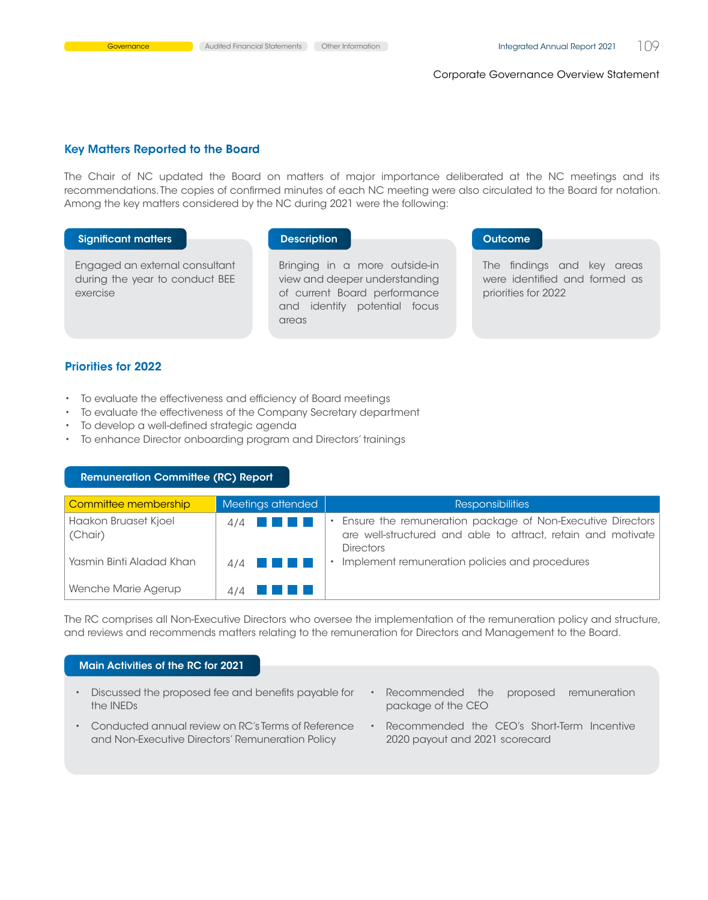#### Key Matters Reported to the Board

The Chair of NC updated the Board on matters of major importance deliberated at the NC meetings and its recommendations. The copies of confirmed minutes of each NC meeting were also circulated to the Board for notation. Among the key matters considered by the NC during 2021 were the following:

#### Significant matters **Description Description Description Outcome**

Engaged an external consultant during the year to conduct BEE exercise

Bringing in a more outside-in view and deeper understanding of current Board performance and identify potential focus areas

The findings and key areas were identified and formed as priorities for 2022

#### Priorities for 2022

- • To evaluate the effectiveness and efficiency of Board meetings
- To evaluate the effectiveness of the Company Secretary department
- • To develop a well-defined strategic agenda
- • To enhance Director onboarding program and Directors' trainings

# Nomination Committee (Nc) Report Remuneration Committee (Rc) Report

| Committee membership            | Meetings attended    | <b>Responsibilities</b>                                                                                                                          |
|---------------------------------|----------------------|--------------------------------------------------------------------------------------------------------------------------------------------------|
| Haakon Bruaset Kjoel<br>(Chair) | $4/4$ $\blacksquare$ | Ensure the remuneration package of Non-Executive Directors  <br>are well-structured and able to attract, retain and motivate<br><b>Directors</b> |
| Yasmin Binti Aladad Khan        | $4/4$ $\blacksquare$ | Implement remuneration policies and procedures                                                                                                   |
| Wenche Marie Agerup             | $4/4$ $\blacksquare$ |                                                                                                                                                  |

The RC comprises all Non-Executive Directors who oversee the implementation of the remuneration policy and structure, and reviews and recommends matters relating to the remuneration for Directors and Management to the Board.

## Main Activities of the RC for 2021

- • Discussed the proposed fee and benefits payable for the INEDs
- • Conducted annual review on RC's Terms of Reference and Non-Executive Directors' Remuneration Policy
- • Recommended the proposed remuneration package of the CEO
- Recommended the CEO's Short-Term Incentive 2020 payout and 2021 scorecard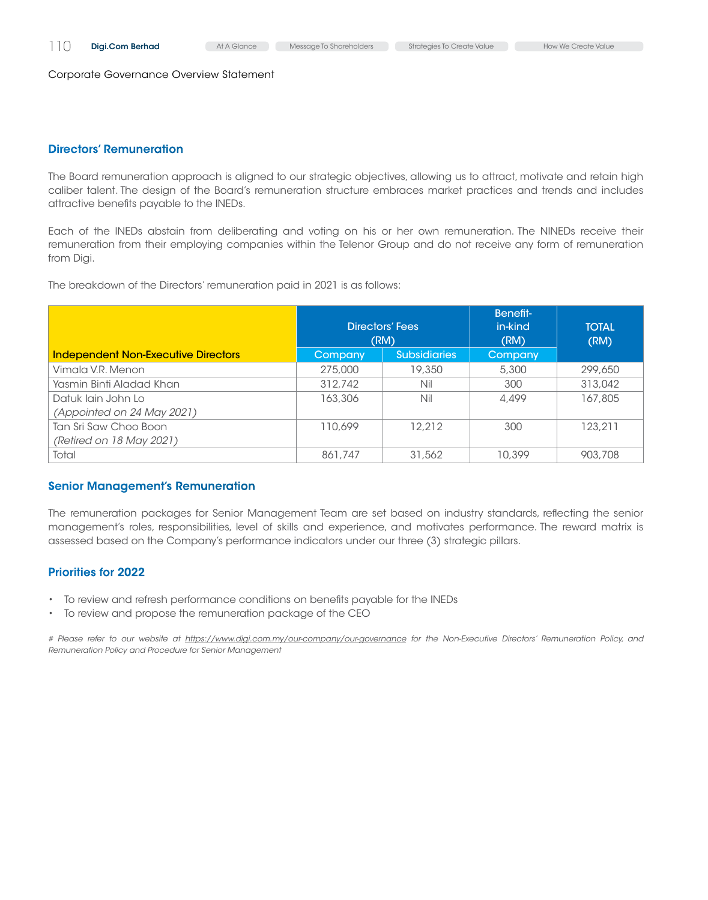# Directors' Remuneration

The Board remuneration approach is aligned to our strategic objectives, allowing us to attract, motivate and retain high caliber talent. The design of the Board's remuneration structure embraces market practices and trends and includes attractive benefits payable to the INEDs.

Each of the INEDs abstain from deliberating and voting on his or her own remuneration. The NINEDs receive their remuneration from their employing companies within the Telenor Group and do not receive any form of remuneration from Digi.

The breakdown of the Directors' remuneration paid in 2021 is as follows:

|                                            | Directors' Fees<br>(RM) |                     | Benefit-<br>in-kind<br>(RM) | <b>TOTAL</b><br>(RM) |
|--------------------------------------------|-------------------------|---------------------|-----------------------------|----------------------|
| <b>Independent Non-Executive Directors</b> | Company                 | <b>Subsidiaries</b> | Company                     |                      |
| Vimala V.R. Menon                          | 275,000                 | 19,350              | 5,300                       | 299,650              |
| Yasmin Binti Aladad Khan                   | 312,742                 | Nil                 | 300                         | 313,042              |
| Datuk lain John Lo                         | 163,306                 | Nil                 | 4,499                       | 167,805              |
| (Appointed on 24 May 2021)                 |                         |                     |                             |                      |
| Tan Sri Saw Choo Boon                      | 110.699                 | 12.212              | 300                         | 123.211              |
| (Retired on 18 May 2021)                   |                         |                     |                             |                      |
| Total                                      | 861,747                 | 31,562              | 10,399                      | 903,708              |

# Senior Management's Remuneration

The remuneration packages for Senior Management Team are set based on industry standards, reflecting the senior management's roles, responsibilities, level of skills and experience, and motivates performance. The reward matrix is assessed based on the Company's performance indicators under our three (3) strategic pillars.

# Priorities for 2022

- To review and refresh performance conditions on benefits payable for the INEDs
- • To review and propose the remuneration package of the CEO

*# Please refer to our website at* https://www.digi.com.my/our-company/our-governance for the Non-Executive Directors' Remuneration Policy, and *Remuneration Policy and Procedure for Senior Management*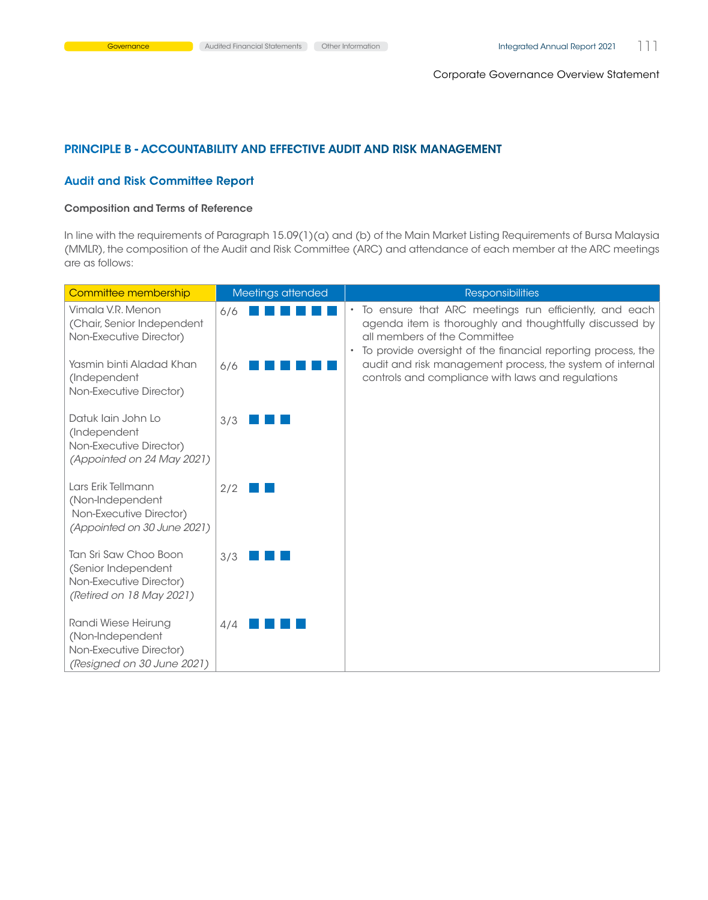# Principle B - Accountability and Effective Audit and Risk Management

# Audit and Risk Committee Report

## Composition and Terms of Reference

In line with the requirements of Paragraph 15.09(1)(a) and (b) of the Main Market Listing Requirements of Bursa Malaysia (MMLR), the composition of the Audit and Risk Committee (ARC) and attendance of each member at the ARC meetings are as follows:

| Committee membership                                                                                | Meetings attended | <b>Responsibilities</b>                                                                                                                                                                                          |
|-----------------------------------------------------------------------------------------------------|-------------------|------------------------------------------------------------------------------------------------------------------------------------------------------------------------------------------------------------------|
| Vimala V.R. Menon<br>(Chair, Senior Independent<br>Non-Executive Director)                          | 6/6               | To ensure that ARC meetings run efficiently, and each<br>agenda item is thoroughly and thoughtfully discussed by<br>all members of the Committee<br>To provide oversight of the financial reporting process, the |
| Yasmin binti Aladad Khan<br>(Independent<br>Non-Executive Director)                                 | 6/6               | audit and risk management process, the system of internal<br>controls and compliance with laws and regulations                                                                                                   |
| Datuk lain John Lo<br>(Independent<br>Non-Executive Director)<br>(Appointed on 24 May 2021)         | 3/3               |                                                                                                                                                                                                                  |
| Lars Erik Tellmann<br>(Non-Independent<br>Non-Executive Director)<br>(Appointed on 30 June 2021)    | 2/2               |                                                                                                                                                                                                                  |
| Tan Sri Saw Choo Boon<br>(Senior Independent<br>Non-Executive Director)<br>(Retired on 18 May 2021) | 3/3               |                                                                                                                                                                                                                  |
| Randi Wiese Heirung<br>(Non-Independent<br>Non-Executive Director)<br>(Resigned on 30 June 2021)    | 4/4               |                                                                                                                                                                                                                  |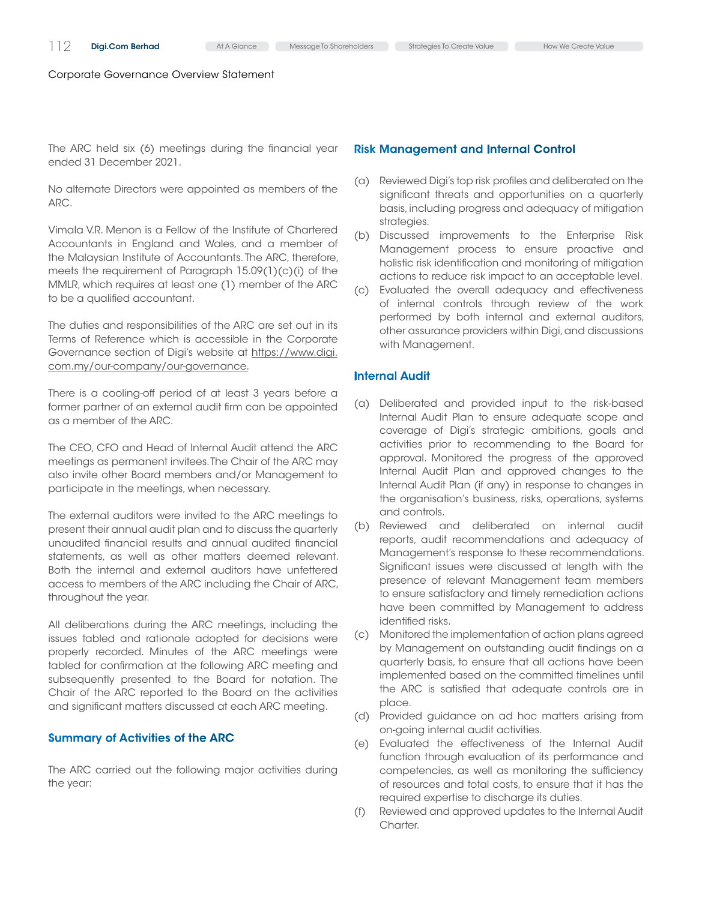The ARC held six (6) meetings during the financial year ended 31 December 2021.

No alternate Directors were appointed as members of the ARC.

Vimala V.R. Menon is a Fellow of the Institute of Chartered Accountants in England and Wales, and a member of the Malaysian Institute of Accountants. The ARC, therefore, meets the requirement of Paragraph 15.09(1)(c)(i) of the MMLR, which requires at least one (1) member of the ARC to be a qualified accountant.

The duties and responsibilities of the ARC are set out in its Terms of Reference which is accessible in the Corporate Governance section of Digi's website at [https://www.digi.](https://www.digi.com.my/our-company/our-governance) [com.my/our-company/our-governance](https://www.digi.com.my/our-company/our-governance).

There is a cooling-off period of at least 3 years before a former partner of an external audit firm can be appointed as a member of the ARC.

The CEO, CFO and Head of Internal Audit attend the ARC meetings as permanent invitees. The Chair of the ARC may also invite other Board members and/or Management to participate in the meetings, when necessary.

The external auditors were invited to the ARC meetings to present their annual audit plan and to discuss the quarterly unaudited financial results and annual audited financial statements, as well as other matters deemed relevant. Both the internal and external auditors have unfettered access to members of the ARC including the Chair of ARC, throughout the year.

All deliberations during the ARC meetings, including the issues tabled and rationale adopted for decisions were properly recorded. Minutes of the ARC meetings were tabled for confirmation at the following ARC meeting and subsequently presented to the Board for notation. The Chair of the ARC reported to the Board on the activities and significant matters discussed at each ARC meeting.

#### Summary of Activities of the ARC

The ARC carried out the following major activities during the year:

#### Risk Management and Internal Control

- (a) Reviewed Digi's top risk profiles and deliberated on the significant threats and opportunities on a quarterly basis, including progress and adequacy of mitigation strategies.
- (b) Discussed improvements to the Enterprise Risk Management process to ensure proactive and holistic risk identification and monitoring of mitigation actions to reduce risk impact to an acceptable level.
- (c) Evaluated the overall adequacy and effectiveness of internal controls through review of the work performed by both internal and external auditors, other assurance providers within Digi, and discussions with Management.

# Internal Audit

- (a) Deliberated and provided input to the risk-based Internal Audit Plan to ensure adequate scope and coverage of Digi's strategic ambitions, goals and activities prior to recommending to the Board for approval. Monitored the progress of the approved Internal Audit Plan and approved changes to the Internal Audit Plan (if any) in response to changes in the organisation's business, risks, operations, systems and controls.
- (b) Reviewed and deliberated on internal audit reports, audit recommendations and adequacy of Management's response to these recommendations. Significant issues were discussed at length with the presence of relevant Management team members to ensure satisfactory and timely remediation actions have been committed by Management to address identified risks.
- (c) Monitored the implementation of action plans agreed by Management on outstanding audit findings on a quarterly basis, to ensure that all actions have been implemented based on the committed timelines until the ARC is satisfied that adequate controls are in place.
- (d) Provided guidance on ad hoc matters arising from on-going internal audit activities.
- (e) Evaluated the effectiveness of the Internal Audit function through evaluation of its performance and competencies, as well as monitoring the sufficiency of resources and total costs, to ensure that it has the required expertise to discharge its duties.
- (f) Reviewed and approved updates to the Internal Audit Charter.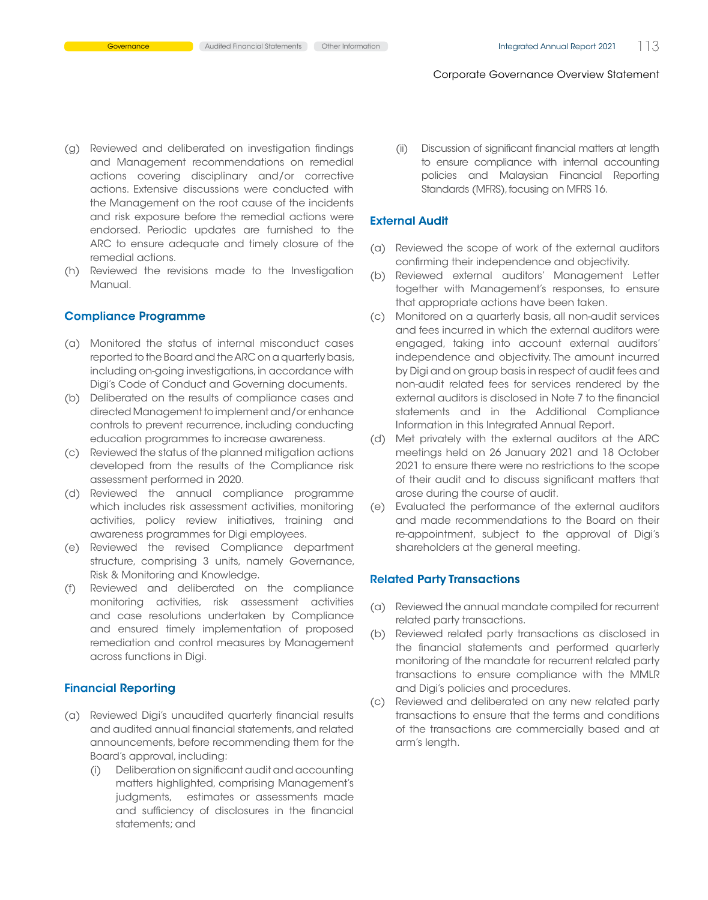- (g) Reviewed and deliberated on investigation findings and Management recommendations on remedial actions covering disciplinary and/or corrective actions. Extensive discussions were conducted with the Management on the root cause of the incidents and risk exposure before the remedial actions were endorsed. Periodic updates are furnished to the ARC to ensure adequate and timely closure of the remedial actions.
- (h) Reviewed the revisions made to the Investigation Manual.

#### Compliance Programme

- (a) Monitored the status of internal misconduct cases reported to the Board and the ARC on a quarterly basis, including on-going investigations, in accordance with Digi's Code of Conduct and Governing documents.
- (b) Deliberated on the results of compliance cases and directed Management to implement and/or enhance controls to prevent recurrence, including conducting education programmes to increase awareness.
- (c) Reviewed the status of the planned mitigation actions developed from the results of the Compliance risk assessment performed in 2020.
- (d) Reviewed the annual compliance programme which includes risk assessment activities, monitoring activities, policy review initiatives, training and awareness programmes for Digi employees.
- (e) Reviewed the revised Compliance department structure, comprising 3 units, namely Governance, Risk & Monitoring and Knowledge.
- (f) Reviewed and deliberated on the compliance monitoring activities, risk assessment activities and case resolutions undertaken by Compliance and ensured timely implementation of proposed remediation and control measures by Management across functions in Digi.

# Financial Reporting

- (a) Reviewed Digi's unaudited quarterly financial results and audited annual financial statements, and related announcements, before recommending them for the Board's approval, including:
	- (i) Deliberation on significant audit and accounting matters highlighted, comprising Management's judgments, estimates or assessments made and sufficiency of disclosures in the financial statements; and

(ii) Discussion of significant financial matters at length to ensure compliance with internal accounting policies and Malaysian Financial Reporting Standards (MFRS), focusing on MFRS 16.

# External Audit

- (a) Reviewed the scope of work of the external auditors confirming their independence and objectivity.
- (b) Reviewed external auditors' Management Letter together with Management's responses, to ensure that appropriate actions have been taken.
- (c) Monitored on a quarterly basis, all non-audit services and fees incurred in which the external auditors were engaged, taking into account external auditors' independence and objectivity. The amount incurred by Digi and on group basis in respect of audit fees and non-audit related fees for services rendered by the external auditors is disclosed in Note 7 to the financial statements and in the Additional Compliance Information in this Integrated Annual Report.
- (d) Met privately with the external auditors at the ARC meetings held on 26 January 2021 and 18 October 2021 to ensure there were no restrictions to the scope of their audit and to discuss significant matters that arose during the course of audit.
- (e) Evaluated the performance of the external auditors and made recommendations to the Board on their re-appointment, subject to the approval of Digi's shareholders at the general meeting.

#### Related Party Transactions

- (a) Reviewed the annual mandate compiled for recurrent related party transactions.
- (b) Reviewed related party transactions as disclosed in the financial statements and performed quarterly monitoring of the mandate for recurrent related party transactions to ensure compliance with the MMLR and Digi's policies and procedures.
- (c) Reviewed and deliberated on any new related party transactions to ensure that the terms and conditions of the transactions are commercially based and at arm's length.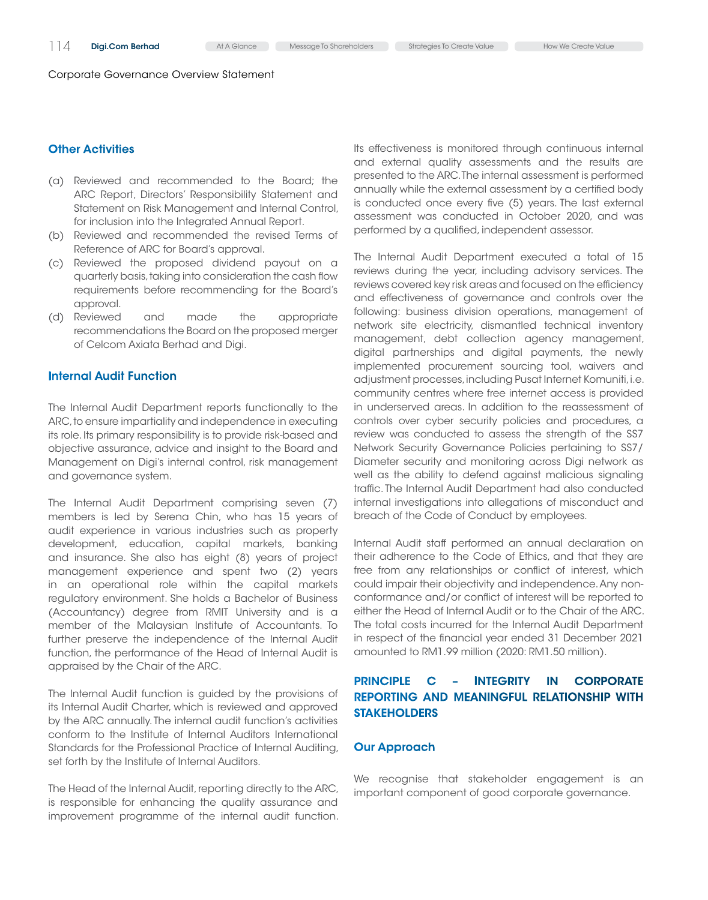# **Other Activities**

- (a) Reviewed and recommended to the Board; the ARC Report, Directors' Responsibility Statement and Statement on Risk Management and Internal Control, for inclusion into the Integrated Annual Report.
- (b) Reviewed and recommended the revised Terms of Reference of ARC for Board's approval.
- (c) Reviewed the proposed dividend payout on a quarterly basis, taking into consideration the cash flow requirements before recommending for the Board's approval.
- (d) Reviewed and made the appropriate recommendations the Board on the proposed merger of Celcom Axiata Berhad and Digi.

# Internal Audit Function

The Internal Audit Department reports functionally to the ARC, to ensure impartiality and independence in executing its role. Its primary responsibility is to provide risk-based and objective assurance, advice and insight to the Board and Management on Digi's internal control, risk management and governance system.

The Internal Audit Department comprising seven (7) members is led by Serena Chin, who has 15 years of audit experience in various industries such as property development, education, capital markets, banking and insurance. She also has eight (8) years of project management experience and spent two (2) years in an operational role within the capital markets regulatory environment. She holds a Bachelor of Business (Accountancy) degree from RMIT University and is a member of the Malaysian Institute of Accountants. To further preserve the independence of the Internal Audit function, the performance of the Head of Internal Audit is appraised by the Chair of the ARC.

The Internal Audit function is guided by the provisions of its Internal Audit Charter, which is reviewed and approved by the ARC annually. The internal audit function's activities conform to the Institute of Internal Auditors International Standards for the Professional Practice of Internal Auditing, set forth by the Institute of Internal Auditors.

The Head of the Internal Audit, reporting directly to the ARC, is responsible for enhancing the quality assurance and improvement programme of the internal audit function. Its effectiveness is monitored through continuous internal and external quality assessments and the results are presented to the ARC. The internal assessment is performed annually while the external assessment by a certified body is conducted once every five (5) years. The last external assessment was conducted in October 2020, and was performed by a qualified, independent assessor.

The Internal Audit Department executed a total of 15 reviews during the year, including advisory services. The reviews covered key risk areas and focused on the efficiency and effectiveness of governance and controls over the following: business division operations, management of network site electricity, dismantled technical inventory management, debt collection agency management, digital partnerships and digital payments, the newly implemented procurement sourcing tool, waivers and adjustment processes, including Pusat Internet Komuniti, i.e. community centres where free internet access is provided in underserved areas. In addition to the reassessment of controls over cyber security policies and procedures, a review was conducted to assess the strength of the SS7 Network Security Governance Policies pertaining to SS7/ Diameter security and monitoring across Digi network as well as the ability to defend against malicious signaling traffic. The Internal Audit Department had also conducted internal investigations into allegations of misconduct and breach of the Code of Conduct by employees.

Internal Audit staff performed an annual declaration on their adherence to the Code of Ethics, and that they are free from any relationships or conflict of interest, which could impair their objectivity and independence. Any nonconformance and/or conflict of interest will be reported to either the Head of Internal Audit or to the Chair of the ARC. The total costs incurred for the Internal Audit Department in respect of the financial year ended 31 December 2021 amounted to RM1.99 million (2020: RM1.50 million).

# Principle C – Integrity in Corporate Reporting and Meaningful Relationship with **STAKEHOLDERS**

# Our Approach

We recognise that stakeholder engagement is an important component of good corporate governance.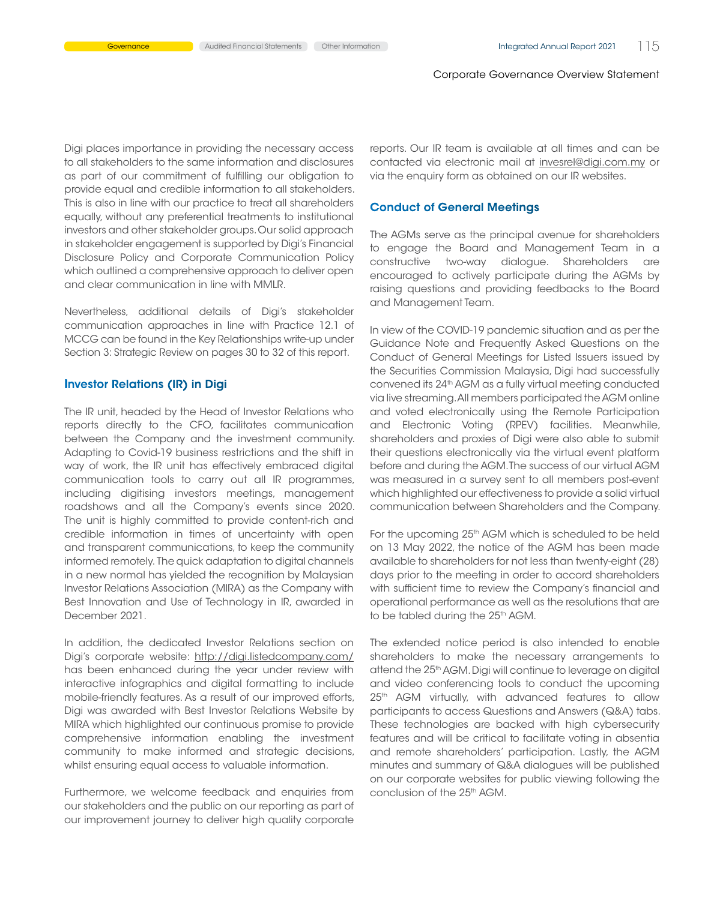Digi places importance in providing the necessary access to all stakeholders to the same information and disclosures as part of our commitment of fulfilling our obligation to provide equal and credible information to all stakeholders. This is also in line with our practice to treat all shareholders equally, without any preferential treatments to institutional investors and other stakeholder groups. Our solid approach in stakeholder engagement is supported by Digi's Financial Disclosure Policy and Corporate Communication Policy which outlined a comprehensive approach to deliver open and clear communication in line with MMLR.

Nevertheless, additional details of Digi's stakeholder communication approaches in line with Practice 12.1 of MCCG can be found in the Key Relationships write-up under Section 3: Strategic Review on pages 30 to 32 of this report.

#### Investor Relations (IR) in Digi

The IR unit, headed by the Head of Investor Relations who reports directly to the CFO, facilitates communication between the Company and the investment community. Adapting to Covid-19 business restrictions and the shift in way of work, the IR unit has effectively embraced digital communication tools to carry out all IR programmes, including digitising investors meetings, management roadshows and all the Company's events since 2020. The unit is highly committed to provide content-rich and credible information in times of uncertainty with open and transparent communications, to keep the community informed remotely. The quick adaptation to digital channels in a new normal has yielded the recognition by Malaysian Investor Relations Association (MIRA) as the Company with Best Innovation and Use of Technology in IR, awarded in December 2021.

In addition, the dedicated Investor Relations section on Digi's corporate website: http://digi.listedcompany.com/ has been enhanced during the year under review with interactive infographics and digital formatting to include mobile-friendly features. As a result of our improved efforts, Digi was awarded with Best Investor Relations Website by MIRA which highlighted our continuous promise to provide comprehensive information enabling the investment community to make informed and strategic decisions, whilst ensuring equal access to valuable information.

Furthermore, we welcome feedback and enquiries from our stakeholders and the public on our reporting as part of our improvement journey to deliver high quality corporate

reports. Our IR team is available at all times and can be contacted via electronic mail at invesrel@digi.com.my or via the enquiry form as obtained on our IR websites.

#### Conduct of General Meetings

The AGMs serve as the principal avenue for shareholders to engage the Board and Management Team in a constructive two-way dialogue. Shareholders are encouraged to actively participate during the AGMs by raising questions and providing feedbacks to the Board and Management Team.

In view of the COVID-19 pandemic situation and as per the Guidance Note and Frequently Asked Questions on the Conduct of General Meetings for Listed Issuers issued by the Securities Commission Malaysia, Digi had successfully convened its 24th AGM as a fully virtual meeting conducted via live streaming. All members participated the AGM online and voted electronically using the Remote Participation and Electronic Voting (RPEV) facilities. Meanwhile, shareholders and proxies of Digi were also able to submit their questions electronically via the virtual event platform before and during the AGM. The success of our virtual AGM was measured in a survey sent to all members post-event which highlighted our effectiveness to provide a solid virtual communication between Shareholders and the Company.

For the upcoming 25<sup>th</sup> AGM which is scheduled to be held on 13 May 2022, the notice of the AGM has been made available to shareholders for not less than twenty-eight (28) days prior to the meeting in order to accord shareholders with sufficient time to review the Company's financial and operational performance as well as the resolutions that are to be tabled during the 25<sup>th</sup> AGM.

The extended notice period is also intended to enable shareholders to make the necessary arrangements to attend the 25<sup>th</sup> AGM. Digi will continue to leverage on digital and video conferencing tools to conduct the upcoming 25<sup>th</sup> AGM virtually, with advanced features to allow participants to access Questions and Answers (Q&A) tabs. These technologies are backed with high cybersecurity features and will be critical to facilitate voting in absentia and remote shareholders' participation. Lastly, the AGM minutes and summary of Q&A dialogues will be published on our corporate websites for public viewing following the conclusion of the 25<sup>th</sup> AGM.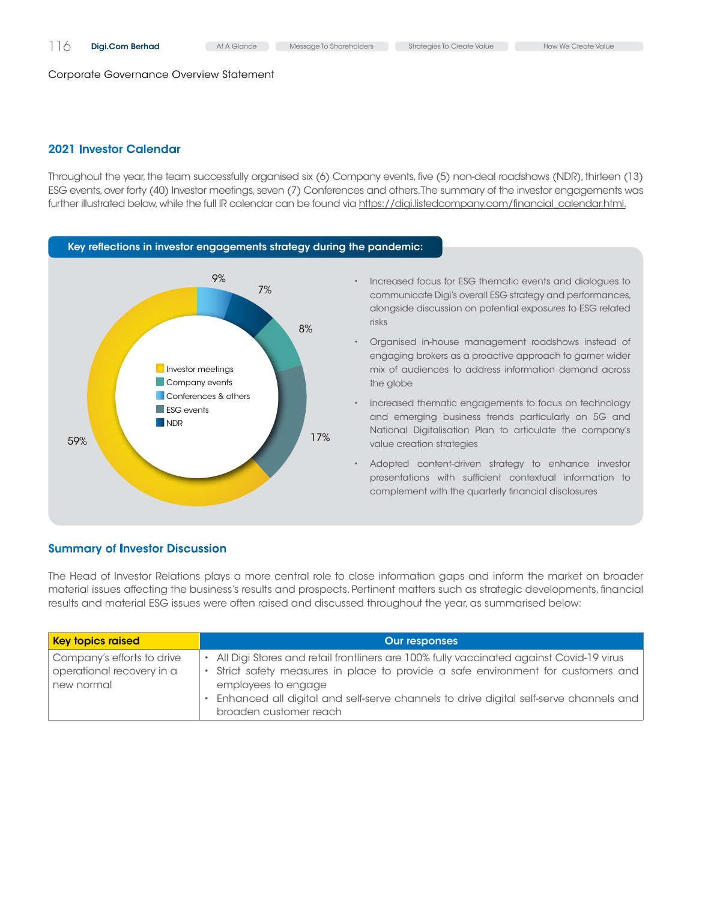# 2021 Investor Calendar

Throughout the year, the team successfully organised six (6) Company events, five (5) non-deal roadshows (NDR), thirteen (13) ESG events, over forty (40) Investor meetings, seven (7) Conferences and others. The summary of the investor engagements was further illustrated below, while the full IR calendar can be found via [https://digi.listedcompany.com/financial\\_calendar.html.](https://digi.listedcompany.com/financial_calendar.html)



# • Increased focus for ESG thematic events and dialogues to communicate Digi's overall ESG strategy and performances, alongside discussion on potential exposures to ESG related

• Organised in-house management roadshows instead of engaging brokers as a proactive approach to garner wider mix of audiences to address information demand across

• Increased thematic engagements to focus on technology and emerging business trends particularly on 5G and National Digitalisation Plan to articulate the company's value creation strategies

• Adopted content-driven strategy to enhance investor presentations with sufficient contextual information to complement with the quarterly financial disclosures

# Summary of Investor Discussion

The Head of Investor Relations plays a more central role to close information gaps and inform the market on broader material issues affecting the business's results and prospects. Pertinent matters such as strategic developments, financial results and material ESG issues were often raised and discussed throughout the year, as summarised below:

| <b>Key topics raised</b>                                              | <b>Our responses</b>                                                                                                                                                                                                                                                                                                       |
|-----------------------------------------------------------------------|----------------------------------------------------------------------------------------------------------------------------------------------------------------------------------------------------------------------------------------------------------------------------------------------------------------------------|
| Company's efforts to drive<br>operational recovery in a<br>new normal | • All Digi Stores and retail frontliners are 100% fully vaccinated against Covid-19 virus<br>· Strict safety measures in place to provide a safe environment for customers and<br>employees to engage<br>· Enhanced all digital and self-serve channels to drive digital self-serve channels and<br>broaden customer reach |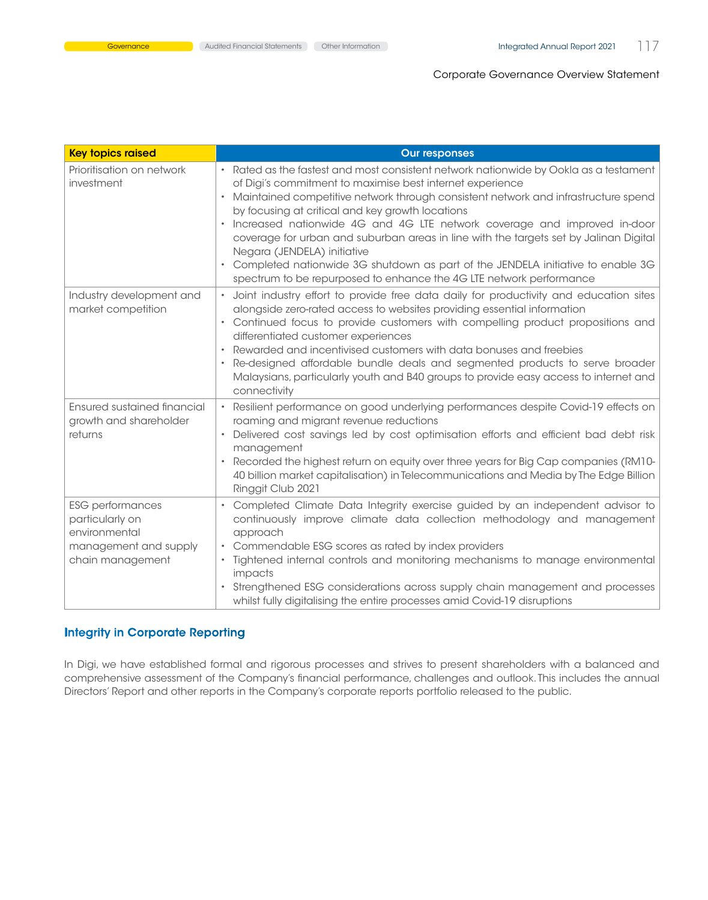| <b>Key topics raised</b>                                                                                 | <b>Our responses</b>                                                                                                                                                                                                                                                                                                                                                                                                                                                                                                                                                                                                                                           |
|----------------------------------------------------------------------------------------------------------|----------------------------------------------------------------------------------------------------------------------------------------------------------------------------------------------------------------------------------------------------------------------------------------------------------------------------------------------------------------------------------------------------------------------------------------------------------------------------------------------------------------------------------------------------------------------------------------------------------------------------------------------------------------|
| Prioritisation on network<br>investment                                                                  | • Rated as the fastest and most consistent network nationwide by Ookla as a testament<br>of Digi's commitment to maximise best internet experience<br>• Maintained competitive network through consistent network and infrastructure spend<br>by focusing at critical and key growth locations<br>Increased nationwide 4G and 4G LTE network coverage and improved in-door<br>coverage for urban and suburban areas in line with the targets set by Jalinan Digital<br>Negara (JENDELA) initiative<br>• Completed nationwide 3G shutdown as part of the JENDELA initiative to enable 3G<br>spectrum to be repurposed to enhance the 4G LTE network performance |
| Industry development and<br>market competition                                                           | • Joint industry effort to provide free data daily for productivity and education sites<br>alongside zero-rated access to websites providing essential information<br>• Continued focus to provide customers with compelling product propositions and<br>differentiated customer experiences<br>Rewarded and incentivised customers with data bonuses and freebies<br>• Re-designed affordable bundle deals and segmented products to serve broader<br>Malaysians, particularly youth and B40 groups to provide easy access to internet and<br>connectivity                                                                                                    |
| <b>Ensured sustained financial</b><br>growth and shareholder<br>returns                                  | • Resilient performance on good underlying performances despite Covid-19 effects on<br>roaming and migrant revenue reductions<br>Delivered cost savings led by cost optimisation efforts and efficient bad debt risk<br>$\bullet$<br>management<br>Recorded the highest return on equity over three years for Big Cap companies (RM10-<br>40 billion market capitalisation) in Telecommunications and Media by The Edge Billion<br>Ringgit Club 2021                                                                                                                                                                                                           |
| <b>ESG</b> performances<br>particularly on<br>environmental<br>management and supply<br>chain management | • Completed Climate Data Integrity exercise guided by an independent advisor to<br>continuously improve climate data collection methodology and management<br>approach<br>• Commendable ESG scores as rated by index providers<br>· Tightened internal controls and monitoring mechanisms to manage environmental<br>impacts<br>Strengthened ESG considerations across supply chain management and processes<br>whilst fully digitalising the entire processes amid Covid-19 disruptions                                                                                                                                                                       |

# Integrity in Corporate Reporting

In Digi, we have established formal and rigorous processes and strives to present shareholders with a balanced and comprehensive assessment of the Company's financial performance, challenges and outlook. This includes the annual Directors' Report and other reports in the Company's corporate reports portfolio released to the public.